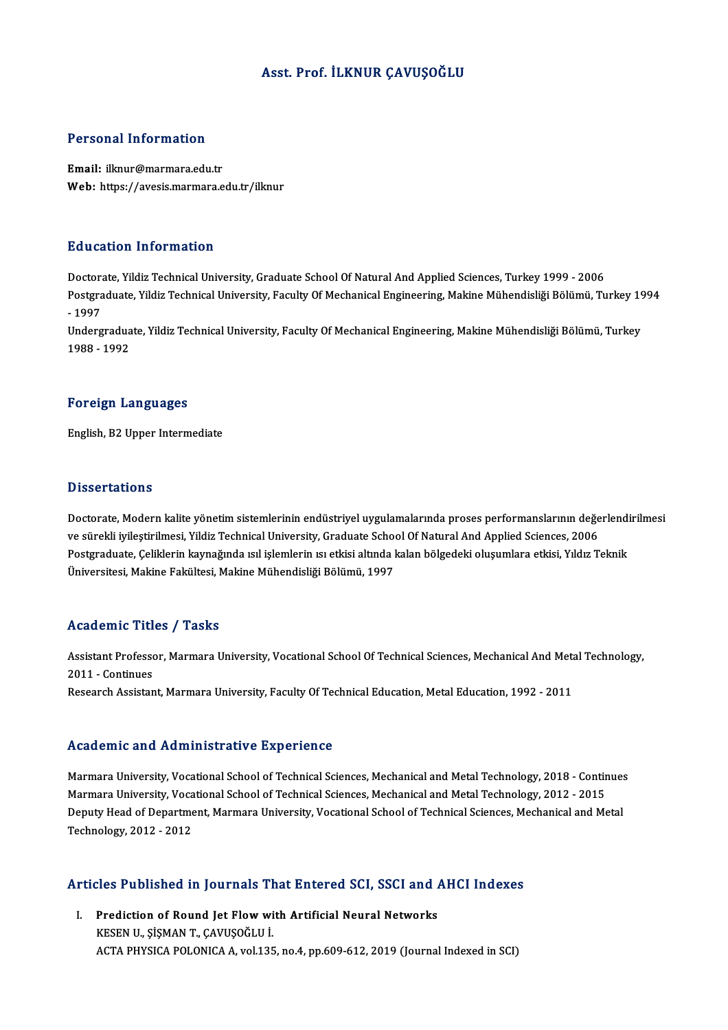### Asst. Prof. İLKNUR ÇAVUŞOĞLU

#### Personal Information

Email: ilknur@marmara.edu.tr Web: https://avesis.marmara.edu.tr/ilknur

#### Education Information

Education Information<br>Doctorate, Yildiz Technical University, Graduate School Of Natural And Applied Sciences, Turkey 1999 - 2006<br>Postsraduate Vildiz Technical University, Faculty Of Mechanical Engineering, Makine Mühendic Postgraduate, Yildiz Technical University, Faculty Of Mechanical Engineering, Makine Mühendisliği Bölümü, Turkey 1994<br>- 1997 Doctora<br>Postgra<br>- 1997<br>Underg Postgraduate, Yildiz Technical University, Faculty Of Mechanical Engineering, Makine Mühendisliği Bölümü, Turkey 19<br>- 1997<br>Undergraduate, Yildiz Technical University, Faculty Of Mechanical Engineering, Makine Mühendisliği

- 1997<br>Undergradua<br>1988 - 1992

# 1988 - 1992<br>Foreign Languages

English,B2Upper Intermediate

#### **Dissertations**

Dissertations<br>Doctorate, Modern kalite yönetim sistemlerinin endüstriyel uygulamalarında proses performanslarının değerlendirilmesi<br>ve sürekli ivilestirilmesi, Yildir Technical University, Craduate School Of Natural And An vesser carrons<br>Doctorate, Modern kalite yönetim sistemlerinin endüstriyel uygulamalarında proses performanslarının değe<br>Ve sürekli iyileştirilmesi, Yildiz Technical University, Graduate School Of Natural And Applied Scienc Doctorate, Modern kalite yönetim sistemlerinin endüstriyel uygulamalarında proses performanslarının değerlendi<br>ve sürekli iyileştirilmesi, Yildiz Technical University, Graduate School Of Natural And Applied Sciences, 2006<br> ve sürekli iyileştirilmesi, Yildiz Technical University, Graduate Scho<br>Postgraduate, Çeliklerin kaynağında ısıl işlemlerin ısı etkisi altında l<br>Üniversitesi, Makine Fakültesi, Makine Mühendisliği Bölümü, 1997 Üniversitesi, Makine Fakültesi, Makine Mühendisliği Bölümü, 1997<br>Academic Titles / Tasks

Academic Titles / Tasks<br>Assistant Professor, Marmara University, Vocational School Of Technical Sciences, Mechanical And Metal Technology,<br>2011 - Continues Assistant Professo<br>2011 - Continues<br>Peseerah Assistan Assistant Professor, Marmara University, Vocational School Of Technical Sciences, Mechanical And Meta<br>2011 - Continues<br>Research Assistant, Marmara University, Faculty Of Technical Education, Metal Education, 1992 - 2011 Research Assistant, Marmara University, Faculty Of Technical Education, Metal Education, 1992 - 2011<br>Academic and Administrative Experience

Marmara University, Vocational School of Technical Sciences, Mechanical and Metal Technology, 2018 - Continues Marmara University, Vocational School of Technical Sciences, Mechanical and Metal Technology, 2018 - Contin<br>Marmara University, Vocational School of Technical Sciences, Mechanical and Metal Technology, 2012 - 2015<br>Deputy H Marmara University, Vocational School of Technical Sciences, Mechanical and Metal Technology, 2018 - Continues<br>Marmara University, Vocational School of Technical Sciences, Mechanical and Metal Technology, 2012 - 2015<br>Deput Marmara University, Voca<br>Deputy Head of Departme<br>Technology, 2012 - 2012

# Articles Published in Journals That Entered SCI, SSCI and AHCI Indexes

rticles Published in Journals That Entered SCI, SSCI and A<br>I. Prediction of Round Jet Flow with Artificial Neural Networks<br>KREEN U. SISMANT CAVUSOČULI I. Prediction of Round Jet Flow with Artificial Neural Networks<br>KESEN U., ŞİŞMAN T., ÇAVUŞOĞLU İ. ACTA PHYSICA POLONICA A, vol.135, no.4, pp.609-612, 2019 (Journal Indexed in SCI)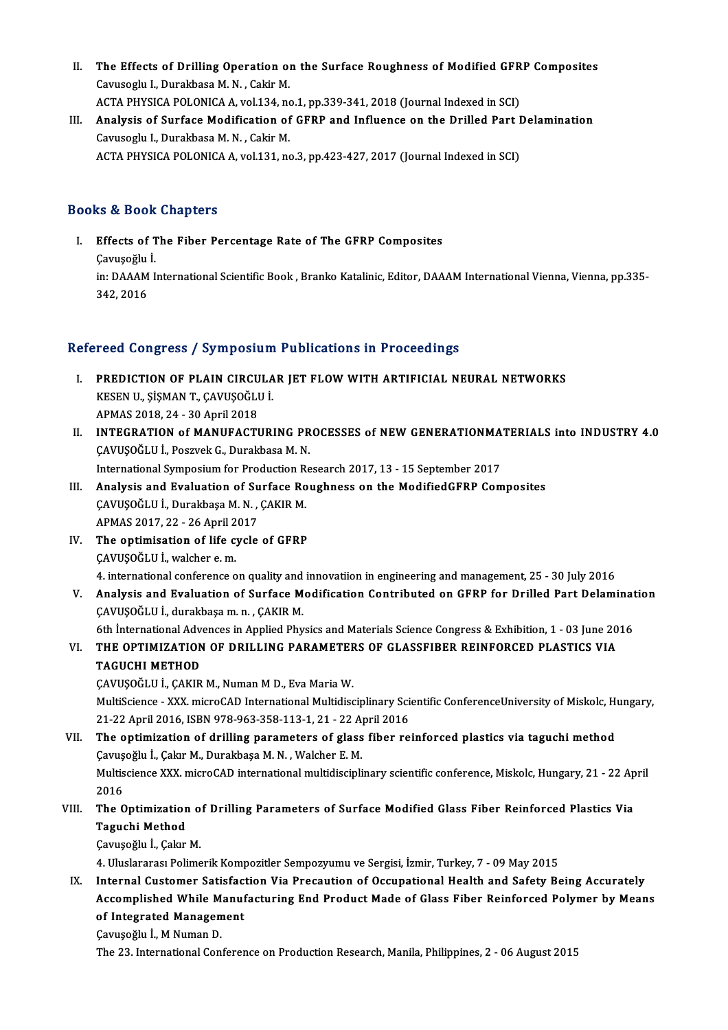- II. The Effects of Drilling Operation on the Surface Roughness of Modified GFRP Composites<br>Couveesive Durakhase M.N. Colsin M The Effects of Drilling Operation of<br>Cavusoglu I., Durakbasa M.N. , Cakir M.<br>ACTA PHYSICA POLONICA A vral 134 no The Effects of Drilling Operation on the Surface Roughness of Modified GFR<br>Cavusoglu I., Durakbasa M. N. , Cakir M.<br>ACTA PHYSICA POLONICA A, vol.134, no.1, pp.339-341, 2018 (Journal Indexed in SCI)<br>Analysis of Surface Modi Cavusoglu I., Durakbasa M. N. , Cakir M.<br>ACTA PHYSICA POLONICA A, vol.134, no.1, pp.339-341, 2018 (Journal Indexed in SCI)<br>III. Analysis of Surface Modification of GFRP and Influence on the Drilled Part Delamination<br>Covuse
- ACTA PHYSICA POLONICA A, vol.134, no.1, pp.339-341, 2018 (Journal Indexed in SCI)<br>Analysis of Surface Modification of GFRP and Influence on the Drilled Part I<br>Cavusoglu I., Durakbasa M. N. , Cakir M.<br>ACTA PHYSICA POLONICA Analysis of Surface Modification of GFRP and Influence on the Drilled Part I<br>Cavusoglu I., Durakbasa M. N. , Cakir M.<br>ACTA PHYSICA POLONICA A, vol.131, no.3, pp.423-427, 2017 (Journal Indexed in SCI)

#### Books&Book Chapters

ooks & Book Chapters<br>I. Effects of The Fiber Percentage Rate of The GFRP Composites<br>Cauveeğlu İ Effects of T<br>Effects of T<br>Çavuşoğlu İ. in: DAAAM International Scientific Book , Branko Katalinic, Editor, DAAAM International Vienna, Vienna, pp.335-<br>342. 2016 Çavuşoğlu İ

#### Refereed Congress / Symposium Publications in Proceedings

- efereed Congress / Symposium Publications in Proceedings<br>I. PREDICTION OF PLAIN CIRCULAR JET FLOW WITH ARTIFICIAL NEURAL NETWORKS<br>KREEN U. SISMAN T. CAVUSOČLU I TOOR OORGI OSO 7 SYMPOSIALI<br>PREDICTION OF PLAIN CIRCULA<br>KESEN U., ŞİŞMAN T., ÇAVUŞOĞLU İ. PREDICTION OF PLAIN CIRCU<br>KESEN U., ŞİŞMAN T., ÇAVUŞOĞLI<br>APMAS 2018, 24 - 30 April 2018<br>INTECPATION of MANIJEACTI KESEN U., ȘİŞMAN T., ÇAVUŞOĞLU İ.<br>APMAS 2018, 24 - 30 April 2018<br>II. INTEGRATION of MANUFACTURING PROCESSES of NEW GENERATIONMATERIALS into INDUSTRY 4.0
- APMAS 2018, 24 30 April 2018<br>INTEGRATION of MANUFACTURING PR<br>ÇAVUŞOĞLU İ., Poszvek G., Durakbasa M. N.<br>International Symnosium for Broduction Bo INTEGRATION of MANUFACTURING PROCESSES of NEW GENERATIONMA<br>CAVUŞOĞLU İ., Poszvek G., Durakbasa M. N.<br>International Symposium for Production Research 2017, 13 - 15 September 2017<br>Analysis and Evaluation of Surfase Boughness CAVUŞOĞLU İ., Poszvek G., Durakbasa M. N.<br>International Symposium for Production Research 2017, 13 - 15 September 2017<br>III. Analysis and Evaluation of Surface Roughness on the ModifiedGFRP Composites<br>CAVUSOĞLU İ., Durakbas
- International Symposium for Production R<br>**Analysis and Evaluation of Surface Ro**<br>ÇAVUŞOĞLU İ., Durakbaşa M. N. , ÇAKIR M.<br>APMAS 2017-22-26 April 2017 Analysis and Evaluation of Su<br>ÇAVUŞOĞLU İ., Durakbaşa M. N. ,<br>APMAS 2017, 22 - 26 April 2017<br>The entimisation of life quale
- IV. The optimisation of life cycle of GFRP APMAS 2017, 22 - 26 April 2<br>The optimisation of life c<br>CAVUŞOĞLU İ., walcher e.m.<br>4. international conference c

4. international conference onquality and innovationinengineering andmanagement,25 -30 July2016

CAVUŞOĞLU İ., walcher e. m.<br>4. international conference on quality and innovatiion in engineering and management, 25 - 30 July 2016<br>4. Analysis and Evaluation of Surface Modification Contributed on GFRP for Drilled Part De 4. international conference on quality and<br>Analysis and Evaluation of Surface M<br>ÇAVUŞOĞLU İ., durakbaşam.n. , ÇAKIR M.<br>Eth International Advances in Annlied Phy Analysis and Evaluation of Surface Modification Contributed on GFRP for Drilled Part Delaminat<br>ÇAVUŞOĞLU İ., durakbaşa m. n. , ÇAKIR M.<br>6th İnternational Advences in Applied Physics and Materials Science Congress & Exhibit CAVUŞOĞLU İ., durakbaşa m. n. , ÇAKIR M.<br>6th İnternational Advences in Applied Physics and Materials Science Congress & Exhibition, 1 - 03 June 20<br>71. THE OPTIMIZATION OF DRILLING PARAMETERS OF GLASSFIBER REINFORCED PLASTI

# 6th International Adv<br>THE OPTIMIZATION<br>TAGUCHI METHOD<br>CAVUSOČLU L CAVUR VI. THE OPTIMIZATION OF DRILLING PARAMETERS OF GLASSFIBER REINFORCED PLASTICS VIA<br>TAGUCHI METHOD<br>CAVUŞOĞLU İ., ÇAKIR M., Numan M D., Eva Maria W.

TAGUCHI METHOD<br>ÇAVUŞOĞLU İ., ÇAKIR M., Numan M D., Eva Maria W.<br>MultiScience - XXX. microCAD International Multidisciplinary Scientific ConferenceUniversity of Miskolc, Hungary,<br>21.22.April 2016, ISBN 978.962.258.112.1.21. CAVUŞOĞLU İ., ÇAKIR M., Numan M D., Eva Maria W.<br>MultiScience - XXX. microCAD International Multidisciplinary Sci<br>21-22 April 2016, ISBN 978-963-358-113-1, 21 - 22 April 2016<br>The entimization of drilling naramators of glas MultiScience - XXX. microCAD International Multidisciplinary Scientific ConferenceUniversity of Miskolc, H<br>21-22 April 2016, ISBN 978-963-358-113-1, 21 - 22 April 2016<br>VII. The optimization of drilling parameters of glass

21-22 April 2016, ISBN 978-963-358-113-1, 21 - 22 April 2016, ISBN 978-963-358-113-1, 21 - 22 April<br>The optimization of drilling parameters of glass<br>Cavuşoğlu İ., Çakır M., Durakbaşa M. N. , Walcher E. M.<br>Multissianse XXX. VII. The optimization of drilling parameters of glass fiber reinforced plastics via taguchi method<br>Cavuşoğlu İ., Çakır M., Durakbaşa M. N. , Walcher E. M.<br>Multiscience XXX. microCAD international multidisciplinary scientif Cavuş<br>Multis<br>2016<br>The C Multiscience XXX. microCAD international multidisciplinary scientific conference, Miskolc, Hungary, 21 - 22 Ap<br>2016<br>VIII. The Optimization of Drilling Parameters of Surface Modified Glass Fiber Reinforced Plastics Via<br>Tagy

# 2016<br>The Optimization<br>Taguchi Method<br>Camisažhi L.Calur The Optimization o<br>Taguchi Method<br>Çavuşoğlu İ., Çakır M.<br>4. Uluslararası Balima

**Taguchi Method**<br>Çavuşoğlu İ., Çakır M.<br>4. Uluslararası Polimerik Kompozitler Sempozyumu ve Sergisi, İzmir, Turkey, 7 - 09 May 2015

IX. Internal Customer Satisfaction Via Precaution of Occupational Health and Safety Being Accurately Accomplished While Manufacturing End Product Made of Glass Fiber Reinforced Polymer by Means Internal Customer Satisfact<br>Accomplished While Manuf<br>of Integrated Management<br>Caruseălu I. M.Numan D Accomplished While M<br>of Integrated Managem<br>Çavuşoğlu İ., M Numan D.<br>The 22 International Con

Çavuşoğlu İ., M Numan D.<br>The 23. International Conference on Production Research, Manila, Philippines, 2 - 06 August 2015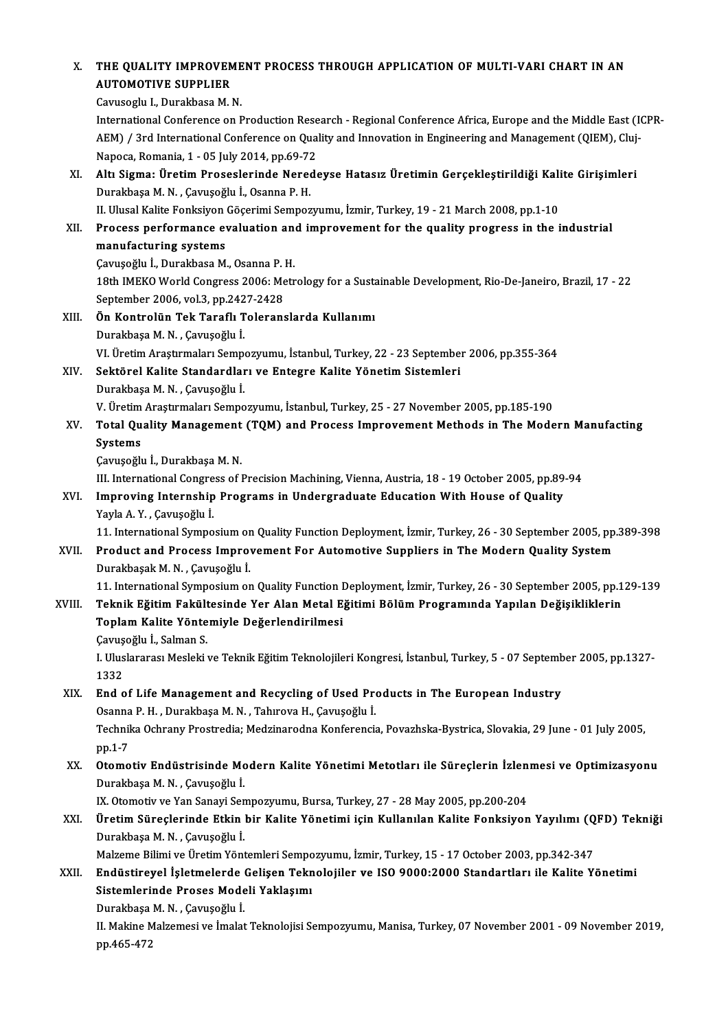|  | X. THE QUALITY IMPROVEMENT PROCESS THROUGH APPLICATION OF MULTI-VARI CHART IN AN                                |
|--|-----------------------------------------------------------------------------------------------------------------|
|  | <b>AUTOMOTIVE SUPPLIER</b>                                                                                      |
|  | Cavusoglu I., Durakbasa M. N.                                                                                   |
|  | International Conference on Production Research - Regional Conference Africa, Europe and the Middle East (ICPR- |
|  | AEM) / 3rd International Conference on Quality and Innovation in Engineering and Management (QIEM), Cluj-       |
|  | Managa, Bamania, 1, $\overline{0}$ Luke 2014, np 60, 72                                                         |

International Conference on Production Rese<br>AEM) / 3rd International Conference on Qua<br>Napoca, Romania, 1 - 05 July 2014, pp.69-72<br>Altı Sigma: Ünetim Proseslorinda Napode AEM) / 3rd International Conference on Quality and Innovation in Engineering and Management (QIEM), Cluj-<br>Napoca, Romania, 1 - 05 July 2014, pp.69-72<br>XI. Altı Sigma: Üretim Proseslerinde Neredeyse Hatasız Üretimin Gerçekle

Napoca, Romania, 1 - 05 July 2014, pp.69-72<br>Altı Sigma: Üretim Proseslerinde Nereo<br>Durakbaşa M. N. , Çavuşoğlu İ., Osanna P. H.<br>H. Hlusel Kalita Fonksiyon Göserimi Sampon Altı Sigma: Üretim Proseslerinde Neredeyse Hatasız Üretimin Gerçekleştirildiği Kali<br>Durakbaşa M. N. , Çavuşoğlu İ., Osanna P. H.<br>II. Ulusal Kalite Fonksiyon Göçerimi Sempozyumu, İzmir, Turkey, 19 - 21 March 2008, pp.1-10<br>P

Durakbaşa M. N. , Çavuşoğlu İ., Osanna P. H.<br>II. Ulusal Kalite Fonksiyon Göçerimi Sempozyumu, İzmir, Turkey, 19 - 21 March 2008, pp.1-10<br>XII. Process performance evaluation and improvement for the quality progress in t II. Ulusal Kalite Fonksiyon<br>Process performance ev<br>manufacturing systems<br>Carusežlu i Durakhasa M Process performance evaluation an<br>manufacturing systems<br>Çavuşoğlu İ., Durakbasa M., Osanna P. H.<br>19th IMEVO World Congrees 2006: Metr

manufacturing systems<br>Çavuşoğlu İ., Durakbasa M., Osanna P. H.<br>18th IMEKO World Congress 2006: Metrology for a Sustainable Development, Rio-De-Janeiro, Brazil, 17 - 22 Çavuşoğlu İ., Durakbasa M., Osanna P. 1<br>18th IMEKO World Congress 2006: Me<br>September 2006, vol.3, pp.2427-2428<br>Ön Kontrolün Tek Tereflı Telerane

- XIII. Ön Kontrolün Tek Taraflı Toleranslarda Kullanımı<br>Durakbaşa M. N., Çavuşoğlu İ. September 2006, vol.3, pp.242<br>**Ön Kontrolün Tek Taraflı T**<br>Durakbaşa M. N. , Çavuşoğlu İ.<br>VI İnatim Arastırmaları Samn VI. Üretim Araştırmaları Sempozyumu, İstanbul, Turkey, 22 - 23 September 2006, pp.355-364
- XIV. Sektörel Kalite Standardları ve Entegre Kalite Yönetim Sistemleri DurakbaşaM.N. ,Çavuşoğlu İ. Sektörel Kalite Standardları ve Entegre Kalite Yönetim Sistemleri<br>Durakbaşa M. N. , Çavuşoğlu İ.<br>V. Üretim Araştırmaları Sempozyumu, İstanbul, Turkey, 25 - 27 November 2005, pp.185-190<br>Tatal Quality Management (TOM) and Br
- XV. Total Quality Management (TQM) and Process Improvement Methods in The Modern Manufacting<br>Systems V. Üretim<br>Total Qu<br>Systems<br>Canuseğlı Systems<br>Çavuşoğlu İ., Durakbaşa M. N.<br>III. International Congress of Precision Machining, Vienna, Austria, 18 - 19 October 2005, pp.89-94<br>Improving Internabin Brograms in Undergraduate Edusation With House of Quality

Çavuşoğlu İ.,DurakbaşaM.N.

### XVI. Improving Internship Programs in Undergraduate Education With House of Quality<br>Yayla A.Y., Cavuşoğlu İ. III. International Congre<br>I<mark>mproving Internship</mark><br>Yayla A.Y. , Çavuşoğlu İ.<br>11. International Sumne Improving Internship Programs in Undergraduate Education With House of Quality<br>Yayla A. Y. , Çavuşoğlu İ.<br>11. International Symposium on Quality Function Deployment, İzmir, Turkey, 26 - 30 September 2005, pp.389-398<br>Produs

Yayla A. Y. , Çavuşoğlu İ.<br>11. International Symposium on Quality Function Deployment, İzmir, Turkey, 26 - 30 September 2005, pp.<br>2005, XVII. Product and Process Improvement For Automotive Suppliers in The Modern Quality S Product and Process Improvement For Automotive Suppliers in The Modern Quality System<br>Durakbaşak M.N., Çavuşoğlu İ. Product and Process Improvement For Automotive Suppliers in The Modern Quality System<br>Durakbaşak M. N. , Çavuşoğlu İ.<br>11. International Symposium on Quality Function Deployment, İzmir, Turkey, 26 - 30 September 2005, pp.12

# Durakbaşak M. N. , Çavuşoğlu İ.<br>11. International Symposium on Quality Function Deployment, İzmir, Turkey, 26 - 30 September 2005, pp.1<br>XVIII. Teknik Eğitim Fakültesinde Yer Alan Metal Eğitimi Bölüm Programında Yapılan 11. International Symposium on Quality Function I<br>Teknik Eğitim Fakültesinde Yer Alan Metal E<br>Toplam Kalite Yöntemiyle Değerlendirilmesi<br>Caruseğlu İ. Salman S Teknik Eğitim Fakül<mark>ı</mark><br>Toplam Kalite Yönte<br>Çavuşoğlu İ., Salman S.<br>L Uluslanansı Mesleki

Çavuşoğlu İ., Salman S.

I. Uluslararası Mesleki ve Teknik Eğitim Teknolojileri Kongresi, İstanbul, Turkey, 5 - 07 September 2005, pp.1327-<br>1332 I. Uluslararası Mesleki ve Teknik Eğitim Teknolojileri Kongresi, İstanbul, Turkey, 5 - 07 Septemb<br>1332<br>XIX. End of Life Management and Recycling of Used Products in The European Industry<br>2000 B.H. Durakbase M.N. Taburaya H

# 1332<br><mark>End of Life Management and Recycling of Used Pr</mark>e<br>Osanna P. H. , Durakbaşa M. N. , Tahırova H., Çavuşoğlu İ.<br>Teshnika Oshrany Prestredia: Medzinaredna Konferensis End of Life Management and Recycling of Used Products in The European Industry<br>Osanna P. H. , Durakbaşa M. N. , Tahırova H., Çavuşoğlu İ.<br>Technika Ochrany Prostredia; Medzinarodna Konferencia, Povazhska-Bystrica, Slovakia, Osanna<br>Technil<br>pp.1-7<br>Otama

# Technika Ochrany Prostredia; Medzinarodna Konferencia, Povazhska-Bystrica, Slovakia, 29 June - 01 July 2005,<br>pp.1-7<br>XX. Otomotiv Endüstrisinde Modern Kalite Yönetimi Metotları ile Süreçlerin İzlenmesi ve Optimizasyonu<br>Dura pp.1-7<br>XX. Otomotiv Endüstrisinde Modern Kalite Yönetimi Metotları ile Süreçlerin İzlenmesi ve Optimizasyonu<br>Durakbaşa M. N. , Çavuşoğlu İ. Otomotiv Endüstrisinde Modern Kalite Yönetimi Metotları ile Süreçlerin İzlen<br>Durakbaşa M. N. , Çavuşoğlu İ.<br>IX. Otomotiv ve Yan Sanayi Sempozyumu, Bursa, Turkey, 27 - 28 May 2005, pp.200-204<br>Ünetim Süreslerinde Etkin bir K

# Durakbaşa M. N. , Çavuşoğlu İ.<br>IX. Otomotiv ve Yan Sanayi Sempozyumu, Bursa, Turkey, 27 - 28 May 2005, pp.200-204<br>XXI. Üretim Süreçlerinde Etkin bir Kalite Yönetimi için Kullanılan Kalite Fonksiyon Yayılımı (QFD) Tekni IX. Otomotiv ve Yan Sanayi Sen<br>**Üretim Süreçlerinde Etkin**<br>Durakbaşa M. N. , Çavuşoğlu İ.<br>Malzama Bilimi ve Üretim Yönt Üretim Süreçlerinde Etkin bir Kalite Yönetimi için Kullanılan Kalite Fonksiyon Yayılımı (Q<br>Durakbaşa M. N. , Çavuşoğlu İ.<br>Malzeme Bilimi ve Üretim Yöntemleri Sempozyumu, İzmir, Turkey, 15 - 17 October 2003, pp.342-347<br>Endü

Malzeme Bilimi ve Üretim Yöntemleri Sempozyumu, İzmir, Turkey, 15 - 17 October 2003, pp.342-347

# Durakbaşa M. N. , Çavuşoğlu İ.<br>Malzeme Bilimi ve Üretim Yöntemleri Sempozyumu, İzmir, Turkey, 15 - 17 October 2003, pp.342-347<br>XXII. Endüstireyel İşletmelerde Gelişen Teknolojiler ve ISO 9000:2000 Standartları ile Kalite Endüstireyel İşletmelerde<br>Sistemlerinde Proses Mode<br>Durakbaşa M.N., Çavuşoğlu İ.<br>H. Makine Makamesi ve İmakt

II. Makine Malzemesi ve İmalat Teknolojisi Sempozyumu, Manisa, Turkey, 07 November 2001 - 09 November 2019,<br>pp.465-472 Durakbaşa<br>II. Makine M<br>pp.465-472